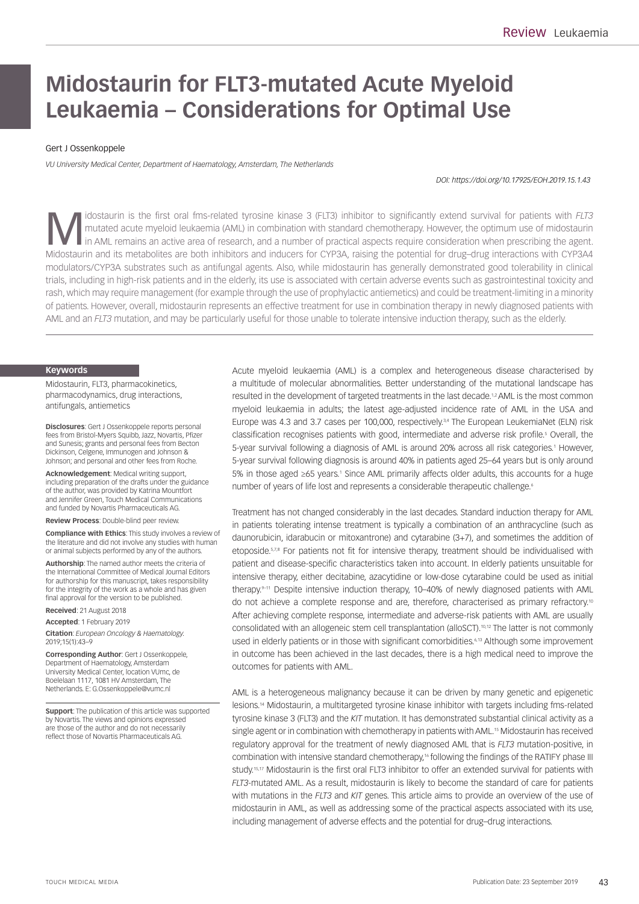# **Midostaurin for FLT3-mutated Acute Myeloid Leukaemia – Considerations for Optimal Use**

## Gert J Ossenkoppele

*VU University Medical Center, Department of Haematology, Amsterdam, The Netherlands* 

*DOI: https://doi.org/10.17925/EOH.2019.15.1.43*

Midostaurin is the first oral fms-related tyrosine kinase 3 (FLT3) inhibitor to significantly extend survival for patients with *FLT3*<br>in AML remains an active area of research, and a number of practical aspects require co mutated acute myeloid leukaemia (AML) in combination with standard chemotherapy. However, the optimum use of midostaurin in AML remains an active area of research, and a number of practical aspects require consideration when prescribing the agent. Midostaurin and its metabolites are both inhibitors and inducers for CYP3A, raising the potential for drug–drug interactions with CYP3A4 modulators/CYP3A substrates such as antifungal agents. Also, while midostaurin has generally demonstrated good tolerability in clinical trials, including in high-risk patients and in the elderly, its use is associated with certain adverse events such as gastrointestinal toxicity and rash, which may require management (for example through the use of prophylactic antiemetics) and could be treatment-limiting in a minority of patients. However, overall, midostaurin represents an effective treatment for use in combination therapy in newly diagnosed patients with AML and an *FLT3* mutation, and may be particularly useful for those unable to tolerate intensive induction therapy, such as the elderly.

#### **Keywords**

Midostaurin, FLT3, pharmacokinetics, pharmacodynamics, drug interactions, antifungals, antiemetics

**Disclosures**: Gert J Ossenkoppele reports personal fees from Bristol-Myers Squibb, Jazz, Novartis, Pfizer and Sunesis; grants and personal fees from Becton Dickinson, Celgene, Immunogen and Johnson & Johnson; and personal and other fees from Roche.

**Acknowledgement**: Medical writing support, including preparation of the drafts under the guidance of the author, was provided by Katrina Mountfort and Jennifer Green, Touch Medical Communications and funded by Novartis Pharmaceuticals AG.

**Review Process**: Double-blind peer review.

**Compliance with Ethics**: This study involves a review of the literature and did not involve any studies with human or animal subjects performed by any of the authors.

**Authorship**: The named author meets the criteria of the International Committee of Medical Journal Editors for authorship for this manuscript, takes responsibility for the integrity of the work as a whole and has given final approval for the version to be published.

**Received**: 21 August 2018

**Accepted**: 1 February 2019 **Citation**: *European Oncology & Haematology.*  2019;15(1):43–9

**Corresponding Author**: Gert J Ossenkoppele, Department of Haematology, Amsterdam University Medical Center, location VUmc, de Boelelaan 1117, 1081 HV Amsterdam, The Netherlands. E: [G.Ossenkoppele@vumc.nl](mailto:G.Ossenkoppele@vumc.nl) 

**Support**: The publication of this article was supported by Novartis. The views and opinions expressed are those of the author and do not necessarily reflect those of Novartis Pharmaceuticals AG.

Acute myeloid leukaemia (AML) is a complex and heterogeneous disease characterised by a multitude of molecular abnormalities. Better understanding of the mutational landscape has resulted in the development of targeted treatments in the last decade.<sup>1,2</sup> AML is the most common myeloid leukaemia in adults; the latest age-adjusted incidence rate of AML in the USA and Europe was 4.3 and 3.7 cases per 100,000, respectively.<sup>3,4</sup> The European LeukemiaNet (ELN) risk classification recognises patients with good, intermediate and adverse risk profile.<sup>5</sup> Overall, the 5-year survival following a diagnosis of AML is around 20% across all risk categories.1 However, 5-year survival following diagnosis is around 40% in patients aged 25–64 years but is only around 5% in those aged ≥65 years.<sup>1</sup> Since AML primarily affects older adults, this accounts for a huge number of years of life lost and represents a considerable therapeutic challenge.<sup>6</sup>

Treatment has not changed considerably in the last decades. Standard induction therapy for AML in patients tolerating intense treatment is typically a combination of an anthracycline (such as daunorubicin, idarabucin or mitoxantrone) and cytarabine (3+7), and sometimes the addition of etoposide.<sup>5,7,8</sup> For patients not fit for intensive therapy, treatment should be individualised with patient and disease-specific characteristics taken into account. In elderly patients unsuitable for intensive therapy, either decitabine, azacytidine or low-dose cytarabine could be used as initial therapy.<sup>9-11</sup> Despite intensive induction therapy, 10–40% of newly diagnosed patients with AML do not achieve a complete response and are, therefore, characterised as primary refractory.<sup>10</sup> After achieving complete response, intermediate and adverse-risk patients with AML are usually consolidated with an allogeneic stem cell transplantation (alloSCT).<sup>10,12</sup> The latter is not commonly used in elderly patients or in those with significant comorbidities.<sup>6,13</sup> Although some improvement in outcome has been achieved in the last decades, there is a high medical need to improve the outcomes for patients with AML.

AML is a heterogeneous malignancy because it can be driven by many genetic and epigenetic lesions.14 Midostaurin, a multitargeted tyrosine kinase inhibitor with targets including fms-related tyrosine kinase 3 (FLT3) and the *KIT* mutation. It has demonstrated substantial clinical activity as a single agent or in combination with chemotherapy in patients with AML.<sup>15</sup> Midostaurin has received regulatory approval for the treatment of newly diagnosed AML that is *FLT3* mutation-positive, in combination with intensive standard chemotherapy,<sup>16</sup> following the findings of the RATIFY phase III study.<sup>15,17</sup> Midostaurin is the first oral FLT3 inhibitor to offer an extended survival for patients with *FLT3*-mutated AML. As a result, midostaurin is likely to become the standard of care for patients with mutations in the *FLT3* and *KIT* genes. This article aims to provide an overview of the use of midostaurin in AML, as well as addressing some of the practical aspects associated with its use, including management of adverse effects and the potential for drug–drug interactions.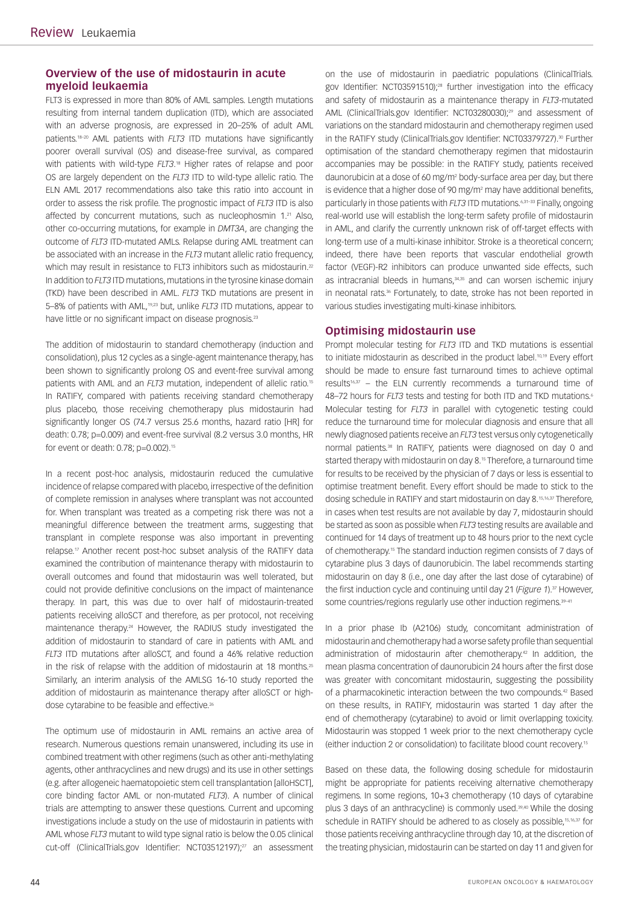# **Overview of the use of midostaurin in acute myeloid leukaemia**

FLT3 is expressed in more than 80% of AML samples. Length mutations resulting from internal tandem duplication (ITD), which are associated with an adverse prognosis, are expressed in 20–25% of adult AML patients.18–20 AML patients with *FLT3* ITD mutations have significantly poorer overall survival (OS) and disease-free survival, as compared with patients with wild-type *FLT3*.<sup>18</sup> Higher rates of relapse and poor OS are largely dependent on the *FLT3* ITD to wild-type allelic ratio. The ELN AML 2017 recommendations also take this ratio into account in order to assess the risk profile. The prognostic impact of *FLT3* ITD is also affected by concurrent mutations, such as nucleophosmin 1.<sup>21</sup> Also, other co-occurring mutations, for example in *DMT3A*, are changing the outcome of *FLT3* ITD-mutated AMLs. Relapse during AML treatment can be associated with an increase in the *FLT3* mutant allelic ratio frequency, which may result in resistance to FLT3 inhibitors such as midostaurin.<sup>22</sup> In addition to *FLT3* ITD mutations, mutations in the tyrosine kinase domain (TKD) have been described in AML. *FLT3* TKD mutations are present in 5–8% of patients with AML,19,23 but, unlike *FLT3* ITD mutations, appear to have little or no significant impact on disease prognosis.<sup>23</sup>

The addition of midostaurin to standard chemotherapy (induction and consolidation), plus 12 cycles as a single-agent maintenance therapy, has been shown to significantly prolong OS and event-free survival among patients with AML and an *FLT3* mutation, independent of allelic ratio.15 In RATIFY, compared with patients receiving standard chemotherapy plus placebo, those receiving chemotherapy plus midostaurin had significantly longer OS (74.7 versus 25.6 months, hazard ratio [HR] for death: 0.78; p=0.009) and event-free survival (8.2 versus 3.0 months, HR for event or death: 0.78; p=0.002).<sup>15</sup>

In a recent post-hoc analysis, midostaurin reduced the cumulative incidence of relapse compared with placebo, irrespective of the definition of complete remission in analyses where transplant was not accounted for. When transplant was treated as a competing risk there was not a meaningful difference between the treatment arms, suggesting that transplant in complete response was also important in preventing relapse.17 Another recent post-hoc subset analysis of the RATIFY data examined the contribution of maintenance therapy with midostaurin to overall outcomes and found that midostaurin was well tolerated, but could not provide definitive conclusions on the impact of maintenance therapy. In part, this was due to over half of midostaurin-treated patients receiving alloSCT and therefore, as per protocol, not receiving maintenance therapy.24 However, the RADIUS study investigated the addition of midostaurin to standard of care in patients with AML and *FLT3* ITD mutations after alloSCT, and found a 46% relative reduction in the risk of relapse with the addition of midostaurin at 18 months.<sup>25</sup> Similarly, an interim analysis of the AMLSG 16-10 study reported the addition of midostaurin as maintenance therapy after alloSCT or highdose cytarabine to be feasible and effective.<sup>26</sup>

The optimum use of midostaurin in AML remains an active area of research. Numerous questions remain unanswered, including its use in combined treatment with other regimens (such as other anti-methylating agents, other anthracyclines and new drugs) and its use in other settings (e.g. after allogeneic haematopoietic stem cell transplantation [alloHSCT], core binding factor AML or non-mutated *FLT3*). A number of clinical trials are attempting to answer these questions. Current and upcoming investigations include a study on the use of midostaurin in patients with AML whose *FLT3* mutant to wild type signal ratio is below the 0.05 clinical cut-off (ClinicalTrials.gov Identifier: NCT03512197);27 an assessment

on the use of midostaurin in paediatric populations (ClinicalTrials. gov Identifier: NCT03591510);<sup>28</sup> further investigation into the efficacy and safety of midostaurin as a maintenance therapy in *FLT3*-mutated AML (ClinicalTrials.gov Identifier: NCT03280030);<sup>29</sup> and assessment of variations on the standard midostaurin and chemotherapy regimen used in the RATIFY study (ClinicalTrials.gov Identifier: NCT03379727).<sup>30</sup> Further optimisation of the standard chemotherapy regimen that midostaurin accompanies may be possible: in the RATIFY study, patients received daunorubicin at a dose of 60 mg/m2 body-surface area per day, but there is evidence that a higher dose of 90 mg/m2 may have additional benefits, particularly in those patients with *FLT3* ITD mutations.6,31–33 Finally, ongoing real-world use will establish the long-term safety profile of midostaurin in AML, and clarify the currently unknown risk of off-target effects with long-term use of a multi-kinase inhibitor. Stroke is a theoretical concern; indeed, there have been reports that vascular endothelial growth factor (VEGF)-R2 inhibitors can produce unwanted side effects, such as intracranial bleeds in humans,<sup>34,35</sup> and can worsen ischemic injury in neonatal rats.<sup>36</sup> Fortunately, to date, stroke has not been reported in various studies investigating multi-kinase inhibitors.

# **Optimising midostaurin use**

Prompt molecular testing for *FLT3* ITD and TKD mutations is essential to initiate midostaurin as described in the product label.<sup>10,19</sup> Every effort should be made to ensure fast turnaround times to achieve optimal results<sup>16,37</sup> – the ELN currently recommends a turnaround time of 48-72 hours for *FLT3* tests and testing for both ITD and TKD mutations.<sup>6</sup> Molecular testing for *FLT3* in parallel with cytogenetic testing could reduce the turnaround time for molecular diagnosis and ensure that all newly diagnosed patients receive an *FLT3* test versus only cytogenetically normal patients.38 In RATIFY, patients were diagnosed on day 0 and started therapy with midostaurin on day 8.<sup>15</sup> Therefore, a turnaround time for results to be received by the physician of 7 days or less is essential to optimise treatment benefit. Every effort should be made to stick to the dosing schedule in RATIFY and start midostaurin on day 8.15,16,37 Therefore, in cases when test results are not available by day 7, midostaurin should be started as soon as possible when *FLT3* testing results are available and continued for 14 days of treatment up to 48 hours prior to the next cycle of chemotherapy.15 The standard induction regimen consists of 7 days of cytarabine plus 3 days of daunorubicin. The label recommends starting midostaurin on day 8 (i.e., one day after the last dose of cytarabine) of the first induction cycle and continuing until day 21 (*Figure 1*).<sup>37</sup> However, some countries/regions regularly use other induction regimens.<sup>39-41</sup>

In a prior phase Ib (A2106) study, concomitant administration of midostaurin and chemotherapy had a worse safety profile than sequential administration of midostaurin after chemotherapy.42 In addition, the mean plasma concentration of daunorubicin 24 hours after the first dose was greater with concomitant midostaurin, suggesting the possibility of a pharmacokinetic interaction between the two compounds.42 Based on these results, in RATIFY, midostaurin was started 1 day after the end of chemotherapy (cytarabine) to avoid or limit overlapping toxicity. Midostaurin was stopped 1 week prior to the next chemotherapy cycle (either induction 2 or consolidation) to facilitate blood count recovery.15

Based on these data, the following dosing schedule for midostaurin might be appropriate for patients receiving alternative chemotherapy regimens. In some regions, 10+3 chemotherapy (10 days of cytarabine plus 3 days of an anthracycline) is commonly used.39,40 While the dosing schedule in RATIFY should be adhered to as closely as possible,<sup>15,16,37</sup> for those patients receiving anthracycline through day 10, at the discretion of the treating physician, midostaurin can be started on day 11 and given for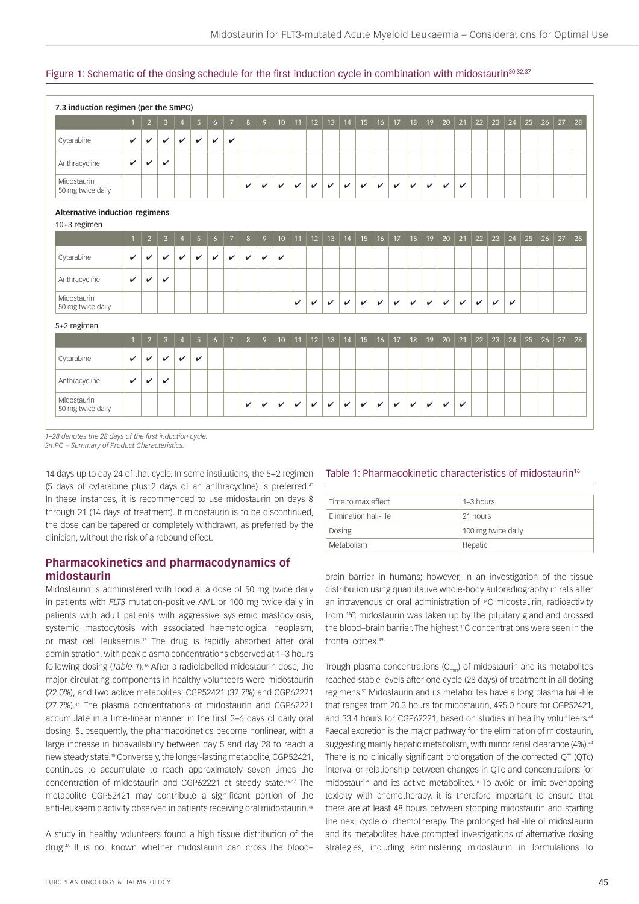## Figure 1: Schematic of the dosing schedule for the first induction cycle in combination with midostaurin<sup>30,32,37</sup>

| 7.3 induction regimen (per the SmPC)           |                |                |              |                |                |                |                |              |              |                 |              |              |              |              |              |              |              |              |              |              |              |              |              |              |    |    |              |    |
|------------------------------------------------|----------------|----------------|--------------|----------------|----------------|----------------|----------------|--------------|--------------|-----------------|--------------|--------------|--------------|--------------|--------------|--------------|--------------|--------------|--------------|--------------|--------------|--------------|--------------|--------------|----|----|--------------|----|
|                                                | $\overline{1}$ | $\overline{2}$ | 3            | $\overline{A}$ | $5\phantom{.}$ | 6              | $\overline{7}$ | 8            | 9            | 10 <sup>1</sup> | 11           | 12           | 13           | 14           | 15           | 16           | 17           | 18           | 19           | 20           | 21           | 22           | 23           | 24           | 25 | 26 | 27           | 28 |
| Cytarabine                                     | $\checkmark$   | ✓              | ✓            | $\mathbf{v}$   | $\checkmark$   | $\checkmark$   | $\checkmark$   |              |              |                 |              |              |              |              |              |              |              |              |              |              |              |              |              |              |    |    |              |    |
| Anthracycline                                  | $\checkmark$   | V              | ✓            |                |                |                |                |              |              |                 |              |              |              |              |              |              |              |              |              |              |              |              |              |              |    |    |              |    |
| Midostaurin<br>50 mg twice daily               |                |                |              |                |                |                |                | V            | V            | $\checkmark$    | $\checkmark$ | $\checkmark$ | $\checkmark$ | $\checkmark$ | $\checkmark$ | V            | $\checkmark$ | $\checkmark$ | $\checkmark$ | $\checkmark$ | $\checkmark$ |              |              |              |    |    |              |    |
| Alternative induction regimens<br>10+3 regimen |                |                |              |                |                |                |                |              |              |                 |              |              |              |              |              |              |              |              |              |              |              |              |              |              |    |    |              |    |
|                                                | $\mathbf{1}$   | $\overline{2}$ | 3            | $\overline{4}$ | 5 <sub>5</sub> | $\epsilon$     | $\overline{7}$ | 8            | 9            | 10              | 11           | 12           | 13           | 14           | 15           | 16           | 17           | 18           | 19           | 20           | 21           | 22           | 23           | 24           | 25 |    | $26 \mid 27$ | 28 |
| Cytarabine                                     | $\checkmark$   | $\checkmark$   | $\checkmark$ | $\checkmark$   | $\checkmark$   | $\mathbf{v}$   | $\checkmark$   | $\checkmark$ | $\checkmark$ | $\checkmark$    |              |              |              |              |              |              |              |              |              |              |              |              |              |              |    |    |              |    |
| Anthracycline                                  | $\mathbf{v}$   | V              | ✓            |                |                |                |                |              |              |                 |              |              |              |              |              |              |              |              |              |              |              |              |              |              |    |    |              |    |
| Midostaurin<br>50 mg twice daily               |                |                |              |                |                |                |                |              |              |                 | $\checkmark$ | $\checkmark$ | $\checkmark$ | $\checkmark$ | $\checkmark$ | $\checkmark$ | $\checkmark$ | $\checkmark$ | $\checkmark$ | $\checkmark$ | $\checkmark$ | $\mathbf{v}$ | $\checkmark$ | $\checkmark$ |    |    |              |    |
| 5+2 regimen                                    |                |                |              |                |                |                |                |              |              |                 |              |              |              |              |              |              |              |              |              |              |              |              |              |              |    |    |              |    |
|                                                | $\mathbf{1}$   | $\overline{2}$ | 3            | $\mathbf{A}$   | 5 <sup>5</sup> | 6 <sup>6</sup> | $\overline{7}$ | 8            | 9            | 10 <sup>°</sup> | 11           | 12           | 13           | 14           | 15           | 16           | 17           | 18           | 19           | 20           | 21           | 22           | 23           | 24           | 25 |    | $26 \mid 27$ | 28 |
| Cytarabine                                     | $\checkmark$   | V              | $\checkmark$ | $\checkmark$   | $\checkmark$   |                |                |              |              |                 |              |              |              |              |              |              |              |              |              |              |              |              |              |              |    |    |              |    |
| Anthracycline                                  | $\mathbf{v}$   | V              | $\checkmark$ |                |                |                |                |              |              |                 |              |              |              |              |              |              |              |              |              |              |              |              |              |              |    |    |              |    |
| Midostaurin<br>50 mg twice daily               |                |                |              |                |                |                |                | V            | V            | ✓               | $\checkmark$ | $\checkmark$ | $\checkmark$ | $\checkmark$ | V            | V            | ✓            | $\checkmark$ | $\checkmark$ | $\checkmark$ | $\checkmark$ |              |              |              |    |    |              |    |

*1–28 denotes the 28 days of the first induction cycle.*

*SmPC = Summary of Product Characteristics.* 

14 days up to day 24 of that cycle. In some institutions, the 5+2 regimen (5 days of cytarabine plus 2 days of an anthracycline) is preferred.43 In these instances, it is recommended to use midostaurin on days 8 through 21 (14 days of treatment). If midostaurin is to be discontinued, the dose can be tapered or completely withdrawn, as preferred by the clinician, without the risk of a rebound effect.

# **Pharmacokinetics and pharmacodynamics of midostaurin**

Midostaurin is administered with food at a dose of 50 mg twice daily in patients with *FLT3* mutation-positive AML or 100 mg twice daily in patients with adult patients with aggressive systemic mastocytosis, systemic mastocytosis with associated haematological neoplasm, or mast cell leukaemia.<sup>16</sup> The drug is rapidly absorbed after oral administration, with peak plasma concentrations observed at 1–3 hours following dosing (*Table 1*).16 After a radiolabelled midostaurin dose, the major circulating components in healthy volunteers were midostaurin (22.0%), and two active metabolites: CGP52421 (32.7%) and CGP62221 (27.7%).44 The plasma concentrations of midostaurin and CGP62221 accumulate in a time-linear manner in the first 3–6 days of daily oral dosing. Subsequently, the pharmacokinetics become nonlinear, with a large increase in bioavailability between day 5 and day 28 to reach a new steady state.45 Conversely, the longer-lasting metabolite, CGP52421, continues to accumulate to reach approximately seven times the concentration of midostaurin and CGP62221 at steady state.46,47 The metabolite CGP52421 may contribute a significant portion of the anti-leukaemic activity observed in patients receiving oral midostaurin.48

A study in healthy volunteers found a high tissue distribution of the drug.46 It is not known whether midostaurin can cross the blood–

## Table 1: Pharmacokinetic characteristics of midostaurin<sup>16</sup>

| Time to max effect    | $1 - 3$ hours      |
|-----------------------|--------------------|
| Flimination half-life | 21 hours           |
| Dosing                | 100 mg twice daily |
| Metabolism            | Hepatic            |

brain barrier in humans; however, in an investigation of the tissue distribution using quantitative whole-body autoradiography in rats after an intravenous or oral administration of 14C midostaurin, radioactivity from 14C midostaurin was taken up by the pituitary gland and crossed the blood–brain barrier. The highest 14C concentrations were seen in the frontal cortex<sup>49</sup>

Trough plasma concentrations  $(C_{\text{min}})$  of midostaurin and its metabolites reached stable levels after one cycle (28 days) of treatment in all dosing regimens.50 Midostaurin and its metabolites have a long plasma half-life that ranges from 20.3 hours for midostaurin, 495.0 hours for CGP52421, and 33.4 hours for CGP62221, based on studies in healthy volunteers.<sup>44</sup> Faecal excretion is the major pathway for the elimination of midostaurin, suggesting mainly hepatic metabolism, with minor renal clearance (4%).<sup>44</sup> There is no clinically significant prolongation of the corrected QT (QTc) interval or relationship between changes in QTc and concentrations for midostaurin and its active metabolites.16 To avoid or limit overlapping toxicity with chemotherapy, it is therefore important to ensure that there are at least 48 hours between stopping midostaurin and starting the next cycle of chemotherapy. The prolonged half-life of midostaurin and its metabolites have prompted investigations of alternative dosing strategies, including administering midostaurin in formulations to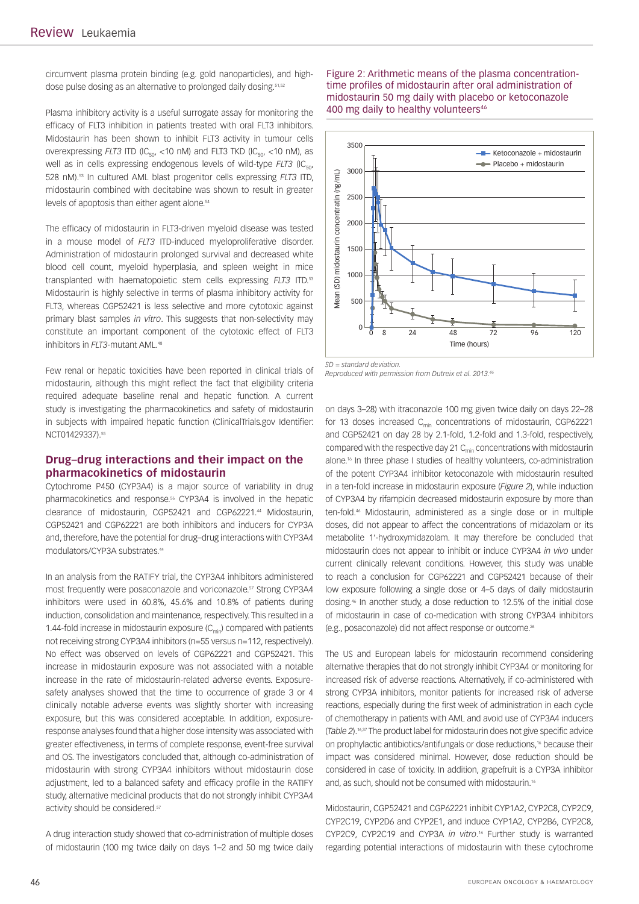circumvent plasma protein binding (e.g. gold nanoparticles), and highdose pulse dosing as an alternative to prolonged daily dosing.<sup>51,52</sup>

Plasma inhibitory activity is a useful surrogate assay for monitoring the efficacy of FLT3 inhibition in patients treated with oral FLT3 inhibitors. Midostaurin has been shown to inhibit FLT3 activity in tumour cells overexpressing  $FLT3$  ITD (IC<sub>50</sub>, <10 nM) and FLT3 TKD (IC<sub>50</sub>, <10 nM), as well as in cells expressing endogenous levels of wild-type *FLT3* (IC<sub>50</sub>, 528 nM).53 In cultured AML blast progenitor cells expressing *FLT3* ITD, midostaurin combined with decitabine was shown to result in greater levels of apoptosis than either agent alone.<sup>54</sup>

The efficacy of midostaurin in FLT3-driven myeloid disease was tested in a mouse model of *FLT3* ITD-induced myeloproliferative disorder. Administration of midostaurin prolonged survival and decreased white blood cell count, myeloid hyperplasia, and spleen weight in mice transplanted with haematopoietic stem cells expressing *FLT3* ITD.53 Midostaurin is highly selective in terms of plasma inhibitory activity for FLT3, whereas CGP52421 is less selective and more cytotoxic against primary blast samples *in vitro*. This suggests that non-selectivity may constitute an important component of the cytotoxic effect of FLT3 inhibitors in *FLT3*-mutant AML.<sup>48</sup>

Few renal or hepatic toxicities have been reported in clinical trials of midostaurin, although this might reflect the fact that eligibility criteria required adequate baseline renal and hepatic function. A current study is investigating the pharmacokinetics and safety of midostaurin in subjects with impaired hepatic function (ClinicalTrials.gov Identifier: NCT01429337).<sup>55</sup>

## **Drug–drug interactions and their impact on the pharmacokinetics of midostaurin**

Cytochrome P450 (CYP3A4) is a major source of variability in drug pharmacokinetics and response.56 CYP3A4 is involved in the hepatic clearance of midostaurin, CGP52421 and CGP62221.44 Midostaurin, CGP52421 and CGP62221 are both inhibitors and inducers for CYP3A and, therefore, have the potential for drug–drug interactions with CYP3A4 modulators/CYP3A substrates.<sup>44</sup>

In an analysis from the RATIFY trial, the CYP3A4 inhibitors administered most frequently were posaconazole and voriconazole.<sup>57</sup> Strong CYP3A4 inhibitors were used in 60.8%, 45.6% and 10.8% of patients during induction, consolidation and maintenance, respectively. This resulted in a 1.44-fold increase in midostaurin exposure  $(C_{\text{min}})$  compared with patients not receiving strong CYP3A4 inhibitors (n=55 versus n=112, respectively). No effect was observed on levels of CGP62221 and CGP52421. This increase in midostaurin exposure was not associated with a notable increase in the rate of midostaurin-related adverse events. Exposuresafety analyses showed that the time to occurrence of grade 3 or 4 clinically notable adverse events was slightly shorter with increasing exposure, but this was considered acceptable. In addition, exposureresponse analyses found that a higher dose intensity was associated with greater effectiveness, in terms of complete response, event-free survival and OS. The investigators concluded that, although co-administration of midostaurin with strong CYP3A4 inhibitors without midostaurin dose adjustment, led to a balanced safety and efficacy profile in the RATIFY study, alternative medicinal products that do not strongly inhibit CYP3A4 activity should be considered.<sup>57</sup>

A drug interaction study showed that co-administration of multiple doses of midostaurin (100 mg twice daily on days 1–2 and 50 mg twice daily Figure 2: Arithmetic means of the plasma concentrationtime profiles of midostaurin after oral administration of midostaurin 50 mg daily with placebo or ketoconazole 400 mg daily to healthy volunteers<sup>46</sup>



*SD = standard deviation. Reproduced with permission from Dutreix et al. 2013.46*

on days 3–28) with itraconazole 100 mg given twice daily on days 22–28 for 13 doses increased  $C_{min}$  concentrations of midostaurin, CGP62221 and CGP52421 on day 28 by 2.1-fold, 1.2-fold and 1.3-fold, respectively, compared with the respective day 21  $C<sub>min</sub>$  concentrations with midostaurin alone.<sup>16</sup> In three phase I studies of healthy volunteers, co-administration of the potent CYP3A4 inhibitor ketoconazole with midostaurin resulted in a ten-fold increase in midostaurin exposure (*Figure 2*), while induction of CYP3A4 by rifampicin decreased midostaurin exposure by more than ten-fold.46 Midostaurin, administered as a single dose or in multiple doses, did not appear to affect the concentrations of midazolam or its metabolite 1′-hydroxymidazolam. It may therefore be concluded that midostaurin does not appear to inhibit or induce CYP3A4 *in vivo* under current clinically relevant conditions. However, this study was unable to reach a conclusion for CGP62221 and CGP52421 because of their low exposure following a single dose or 4–5 days of daily midostaurin dosing.46 In another study, a dose reduction to 12.5% of the initial dose of midostaurin in case of co-medication with strong CYP3A4 inhibitors (e.g., posaconazole) did not affect response or outcome.26

The US and European labels for midostaurin recommend considering alternative therapies that do not strongly inhibit CYP3A4 or monitoring for increased risk of adverse reactions. Alternatively, if co-administered with strong CYP3A inhibitors, monitor patients for increased risk of adverse reactions, especially during the first week of administration in each cycle of chemotherapy in patients with AML and avoid use of CYP3A4 inducers (*Table 2*).16,37 The product label for midostaurin does not give specific advice on prophylactic antibiotics/antifungals or dose reductions,<sup>16</sup> because their impact was considered minimal. However, dose reduction should be considered in case of toxicity. In addition, grapefruit is a CYP3A inhibitor and, as such, should not be consumed with midostaurin.<sup>16</sup>

Midostaurin, CGP52421 and CGP62221 inhibit CYP1A2, CYP2C8, CYP2C9, CYP2C19, CYP2D6 and CYP2E1, and induce CYP1A2, CYP2B6, CYP2C8, CYP2C9, CYP2C19 and CYP3A *in vitro*. 16 Further study is warranted regarding potential interactions of midostaurin with these cytochrome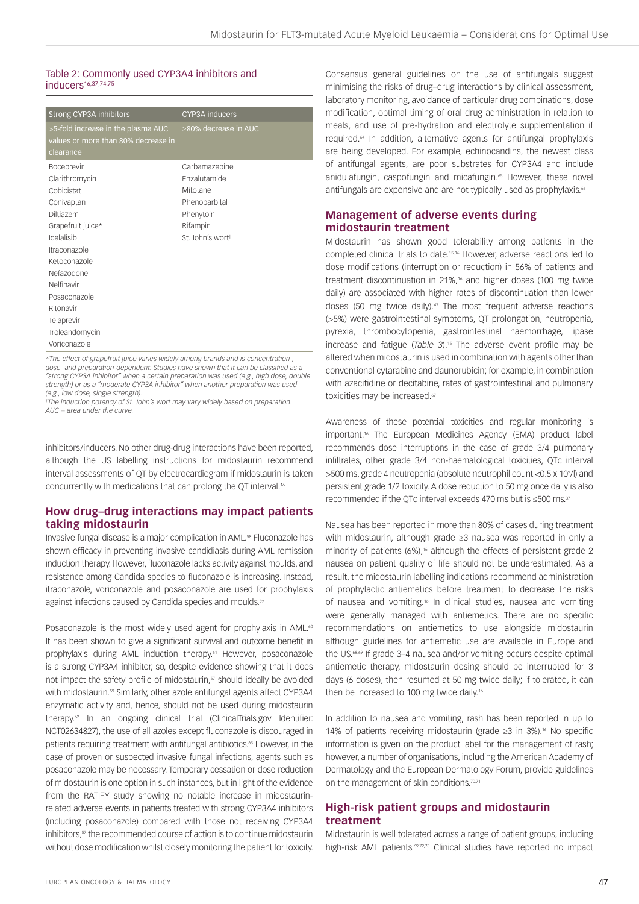## Table 2: Commonly used CYP3A4 inhibitors and inducers<sup>16,37,74,75</sup>

| <b>Strong CYP3A inhibitors</b>      | <b>CYP3A</b> inducers      |
|-------------------------------------|----------------------------|
| >5-fold increase in the plasma AUC  | $\geq$ 80% decrease in AUC |
| values or more than 80% decrease in |                            |
| clearance                           |                            |
| <b>Boceprevir</b>                   | Carbamazepine              |
| Clarithromycin                      | <b>Enzalutamide</b>        |
| Cobicistat                          | Mitotane                   |
| Conivaptan                          | Phenobarbital              |
| Diltiazem                           | Phenytoin                  |
| Grapefruit juice*                   | Rifampin                   |
| Idelalisib                          | St_Iohn's worth            |
| Itraconazole                        |                            |
| Ketoconazole                        |                            |
| Nefazodone                          |                            |
| Nelfinavir                          |                            |
| Posaconazole                        |                            |
| Ritonavir                           |                            |
| Telaprevir                          |                            |
| Troleandomycin                      |                            |
| Voriconazole                        |                            |

*\*The effect of grapefruit juice varies widely among brands and is concentration-, dose- and preparation-dependent. Studies have shown that it can be classified as a "strong CYP3A inhibitor" when a certain preparation was used (e.g., high dose, double strength) or as a "moderate CYP3A inhibitor" when another preparation was used (e.g., low dose, single strength).*

*† The induction potency of St. John's wort may vary widely based on preparation. AUC = area under the curve.*

inhibitors/inducers. No other drug-drug interactions have been reported, although the US labelling instructions for midostaurin recommend interval assessments of QT by electrocardiogram if midostaurin is taken concurrently with medications that can prolong the QT interval.<sup>16</sup>

# **How drug–drug interactions may impact patients taking midostaurin**

Invasive fungal disease is a major complication in AML.<sup>58</sup> Fluconazole has shown efficacy in preventing invasive candidiasis during AML remission induction therapy. However, fluconazole lacks activity against moulds, and resistance among Candida species to fluconazole is increasing. Instead, itraconazole, voriconazole and posaconazole are used for prophylaxis against infections caused by Candida species and moulds.<sup>59</sup>

Posaconazole is the most widely used agent for prophylaxis in AML.<sup>60</sup> It has been shown to give a significant survival and outcome benefit in prophylaxis during AML induction therapy.<sup>61</sup> However, posaconazole is a strong CYP3A4 inhibitor, so, despite evidence showing that it does not impact the safety profile of midostaurin,<sup>57</sup> should ideally be avoided with midostaurin.<sup>59</sup> Similarly, other azole antifungal agents affect CYP3A4 enzymatic activity and, hence, should not be used during midostaurin therapy.<sup>62</sup> In an ongoing clinical trial (ClinicalTrials.gov Identifier: NCT02634827), the use of all azoles except fluconazole is discouraged in patients requiring treatment with antifungal antibiotics.<sup>63</sup> However, in the case of proven or suspected invasive fungal infections, agents such as posaconazole may be necessary. Temporary cessation or dose reduction of midostaurin is one option in such instances, but in light of the evidence from the RATIFY study showing no notable increase in midostaurinrelated adverse events in patients treated with strong CYP3A4 inhibitors (including posaconazole) compared with those not receiving CYP3A4 inhibitors,<sup>57</sup> the recommended course of action is to continue midostaurin without dose modification whilst closely monitoring the patient for toxicity.

Consensus general guidelines on the use of antifungals suggest minimising the risks of drug–drug interactions by clinical assessment, laboratory monitoring, avoidance of particular drug combinations, dose modification, optimal timing of oral drug administration in relation to meals, and use of pre-hydration and electrolyte supplementation if required.64 In addition, alternative agents for antifungal prophylaxis are being developed. For example, echinocandins, the newest class of antifungal agents, are poor substrates for CYP3A4 and include anidulafungin, caspofungin and micafungin.<sup>65</sup> However, these novel antifungals are expensive and are not typically used as prophylaxis.<sup>66</sup>

# **Management of adverse events during midostaurin treatment**

Midostaurin has shown good tolerability among patients in the completed clinical trials to date.15,16 However, adverse reactions led to dose modifications (interruption or reduction) in 56% of patients and treatment discontinuation in 21%, $16$  and higher doses (100 mg twice daily) are associated with higher rates of discontinuation than lower doses (50 mg twice daily).<sup>42</sup> The most frequent adverse reactions (>5%) were gastrointestinal symptoms, QT prolongation, neutropenia, pyrexia, thrombocytopenia, gastrointestinal haemorrhage, lipase increase and fatigue (*Table 3*).15 The adverse event profile may be altered when midostaurin is used in combination with agents other than conventional cytarabine and daunorubicin; for example, in combination with azacitidine or decitabine, rates of gastrointestinal and pulmonary toxicities may be increased.<sup>67</sup>

Awareness of these potential toxicities and regular monitoring is important.<sup>16</sup> The European Medicines Agency (EMA) product label recommends dose interruptions in the case of grade 3/4 pulmonary infiltrates, other grade 3/4 non-haematological toxicities, QTc interval >500 ms, grade 4 neutropenia (absolute neutrophil count <0.5 x 10°/l) and persistent grade 1/2 toxicity. A dose reduction to 50 mg once daily is also recommended if the QTc interval exceeds 470 ms but is ≤500 ms.37

Nausea has been reported in more than 80% of cases during treatment with midostaurin, although grade ≥3 nausea was reported in only a minority of patients (6%).<sup>16</sup> although the effects of persistent grade 2 nausea on patient quality of life should not be underestimated. As a result, the midostaurin labelling indications recommend administration of prophylactic antiemetics before treatment to decrease the risks of nausea and vomiting.16 In clinical studies, nausea and vomiting were generally managed with antiemetics. There are no specific recommendations on antiemetics to use alongside midostaurin although guidelines for antiemetic use are available in Europe and the US.68,69 If grade 3–4 nausea and/or vomiting occurs despite optimal antiemetic therapy, midostaurin dosing should be interrupted for 3 days (6 doses), then resumed at 50 mg twice daily; if tolerated, it can then be increased to 100 mg twice daily.<sup>16</sup>

In addition to nausea and vomiting, rash has been reported in up to 14% of patients receiving midostaurin (grade ≥3 in 3%).16 No specific information is given on the product label for the management of rash; however, a number of organisations, including the American Academy of Dermatology and the European Dermatology Forum, provide guidelines on the management of skin conditions.<sup>70,71</sup>

# **High-risk patient groups and midostaurin treatment**

Midostaurin is well tolerated across a range of patient groups, including high-risk AML patients.<sup>69,72,73</sup> Clinical studies have reported no impact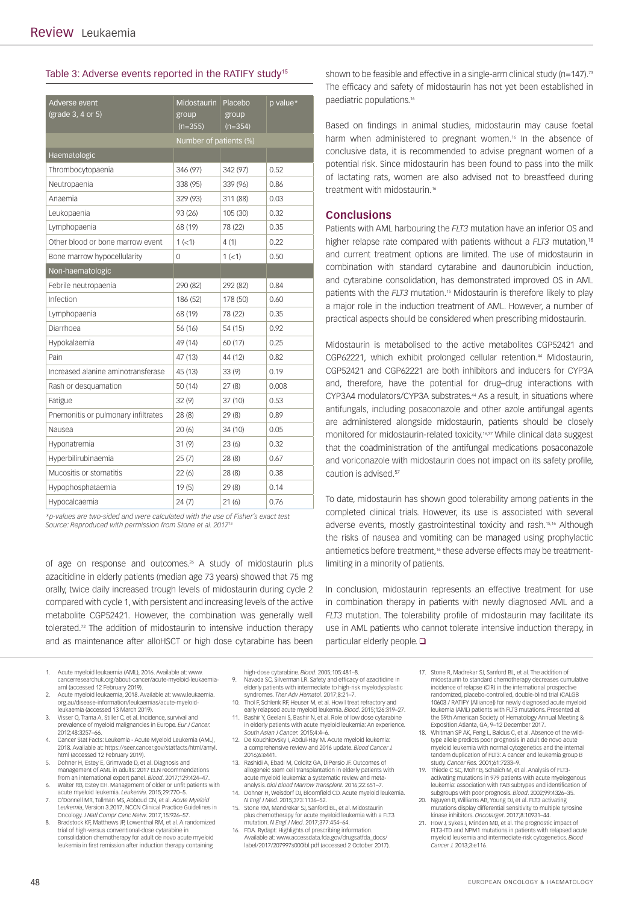#### Table 3: Adverse events reported in the RATIFY study<sup>15</sup>

| Adverse event                       | Midostaurin Placebo    |           | p value* |  |  |  |  |  |
|-------------------------------------|------------------------|-----------|----------|--|--|--|--|--|
| (grade 3, 4 or 5)                   | group                  | group     |          |  |  |  |  |  |
|                                     | $(n=355)$              | $(n=354)$ |          |  |  |  |  |  |
|                                     | Number of patients (%) |           |          |  |  |  |  |  |
| Haematologic                        |                        |           |          |  |  |  |  |  |
| Thrombocytopaenia                   | 346 (97)               | 342 (97)  | 0.52     |  |  |  |  |  |
| Neutropaenia                        | 338 (95)               | 339 (96)  | 0.86     |  |  |  |  |  |
| Anaemia                             | 329 (93)               | 311 (88)  | 0.03     |  |  |  |  |  |
| Leukopaenia                         | 93 (26)                | 105 (30)  | 0.32     |  |  |  |  |  |
| Lymphopaenia                        | 68 (19)                | 78 (22)   | 0.35     |  |  |  |  |  |
| Other blood or bone marrow event    | 1 (< 1)                | 4(1)      | 0.22     |  |  |  |  |  |
| Bone marrow hypocellularity         | $\Omega$               | 1 (< 1)   | 0.50     |  |  |  |  |  |
| Non-haematologic                    |                        |           |          |  |  |  |  |  |
| Febrile neutropaenia                | 290 (82)               | 292 (82)  | 0.84     |  |  |  |  |  |
| Infection                           | 186 (52)               | 178 (50)  | 0.60     |  |  |  |  |  |
| Lymphopaenia                        | 68 (19)                | 78 (22)   | 0.35     |  |  |  |  |  |
| Diarrhoea                           | 56 (16)                | 54 (15)   | 0.92     |  |  |  |  |  |
| Hypokalaemia                        | 49 (14)                | 60 (17)   | 0.25     |  |  |  |  |  |
| Pain                                | 47 (13)                | 44 (12)   | 0.82     |  |  |  |  |  |
| Increased alanine aminotransferase  | 45 (13)                | 33(9)     | 0.19     |  |  |  |  |  |
| Rash or desquamation                | 50(14)                 | 27(8)     | 0.008    |  |  |  |  |  |
| Fatigue                             | 32(9)                  | 37 (10)   | 0.53     |  |  |  |  |  |
| Pnemonitis or pulmonary infiltrates | 28(8)                  | 29(8)     | 0.89     |  |  |  |  |  |
| Nausea                              | 20 (6)                 | 34 (10)   | 0.05     |  |  |  |  |  |
| Hyponatremia                        | 31(9)                  | 23(6)     | 0.32     |  |  |  |  |  |
| Hyperbilirubinaemia                 | 25(7)                  | 28(8)     | 0.67     |  |  |  |  |  |
| Mucositis or stomatitis             | 22 (6)                 | 28(8)     | 0.38     |  |  |  |  |  |
| Hypophosphataemia                   | 19(5)                  | 29(8)     | 0.14     |  |  |  |  |  |
| Hypocalcaemia                       | 24(7)                  | 21(6)     | 0.76     |  |  |  |  |  |

*\*p-values are two-sided and were calculated with the use of Fisher's exact test Source: Reproduced with permission from Stone et al. 2017<sup>15</sup>* 

of age on response and outcomes.<sup>26</sup> A study of midostaurin plus azacitidine in elderly patients (median age 73 years) showed that 75 mg orally, twice daily increased trough levels of midostaurin during cycle 2 compared with cycle 1, with persistent and increasing levels of the active metabolite CGP52421. However, the combination was generally well tolerated.<sup>72</sup> The addition of midostaurin to intensive induction therapy and as maintenance after alloHSCT or high dose cytarabine has been

- Acute myeloid leukaemia (AML), 2016. Available at: www. cancerresearchuk.org/about-cancer/acute-myeloid-leukaemiaaml (accessed 12 February 2019).
- 2. Acute myeloid leukaemia, 2018. Available at: www.leukaemia. org.au/disease-information/leukaemias/acute-myeloidleukaemia (accessed 13 March 2019).
- 3. Visser O, Trama A, Stiller C, et al. Incidence, survival and prevalence of myeloid malignancies in Europe. *Eur J Cancer.* 2012;48:3257–66.
- 4. Cancer Stat Facts: Leukemia Acute Myeloid Leukemia (AML), 2018. Available at: https://seer.cancer.gov/statfacts/html/amyl.
- html (accessed 12 February 2019). 5. Dohner H, Estey E, Grimwade D, et al. Diagnosis and management of AML in adults: 2017 ELN recommendations from an international expert panel. *Blood*. 2017;129:424–47.
- 6. Walter RB, Estey EH. Management of older or unfit patients with acute myeloid leukemia. *Leukemia*. 2015;29:770–5.
- 7. O'Donnell MR, Tallman MS, Abboud CN, et al. *Acute Myeloid Leukemia*, Version 3.2017, NCCN Clinical Practice Guidelines in
- Oncology. *J Natl Compr Canc Netw*. 2017;15:926–57. 8. Bradstock KF, Matthews JP, Lowenthal RM, et al. A randomized trial of high-versus conventional-dose cytarabine in consolidation chemotherapy for adult de novo acute myeloid leukemia in first remission after induction therapy containing

shown to be feasible and effective in a single-arm clinical study (n=147).<sup>73</sup> The efficacy and safety of midostaurin has not yet been established in paediatric populations.16

Based on findings in animal studies, midostaurin may cause foetal harm when administered to pregnant women.<sup>16</sup> In the absence of conclusive data, it is recommended to advise pregnant women of a potential risk. Since midostaurin has been found to pass into the milk of lactating rats, women are also advised not to breastfeed during treatment with midostaurin.<sup>16</sup>

## **Conclusions**

Patients with AML harbouring the *FLT3* mutation have an inferior OS and higher relapse rate compared with patients without a *FLT3* mutation,18 and current treatment options are limited. The use of midostaurin in combination with standard cytarabine and daunorubicin induction, and cytarabine consolidation, has demonstrated improved OS in AML patients with the *FLT3* mutation.<sup>15</sup> Midostaurin is therefore likely to play a major role in the induction treatment of AML. However, a number of practical aspects should be considered when prescribing midostaurin.

Midostaurin is metabolised to the active metabolites CGP52421 and CGP62221, which exhibit prolonged cellular retention.44 Midostaurin, CGP52421 and CGP62221 are both inhibitors and inducers for CYP3A and, therefore, have the potential for drug–drug interactions with CYP3A4 modulators/CYP3A substrates.44 As a result, in situations where antifungals, including posaconazole and other azole antifungal agents are administered alongside midostaurin, patients should be closely monitored for midostaurin-related toxicity.16,37 While clinical data suggest that the coadministration of the antifungal medications posaconazole and voriconazole with midostaurin does not impact on its safety profile, caution is advised.<sup>57</sup>

To date, midostaurin has shown good tolerability among patients in the completed clinical trials. However, its use is associated with several adverse events, mostly gastrointestinal toxicity and rash.15,16 Although the risks of nausea and vomiting can be managed using prophylactic antiemetics before treatment.<sup>16</sup> these adverse effects may be treatmentlimiting in a minority of patients.

In conclusion, midostaurin represents an effective treatment for use in combination therapy in patients with newly diagnosed AML and a *FLT3* mutation. The tolerability profile of midostaurin may facilitate its use in AML patients who cannot tolerate intensive induction therapy, in particular elderly people.

- high-dose cytarabine. *Blood*. 2005;105:481–8. 9. Navada SC, Silverman LR. Safety and efficacy of azacitidine in elderly patients with intermediate to high-risk myelodysplastic syndromes. *Ther Adv Hematol*. 2017;8:21–7.
- 10. Thol F, Schlenk RF, Heuser M, et al. How I treat refractory and early relapsed acute myeloid leukemia. *Blood*. 2015;126:319–27. 11. Bashir Y, Geelani S, Bashir N, et al. Role of low dose cytarabine
- in elderly patients with acute myeloid leukemia: An experience. *South Asian J Cancer.* 2015;4:4–6.
- 12. De Kouchkovsky I, Abdul-Hay M. Acute myeloid leukemia: a comprehensive review and 2016 update. *Blood Cancer J.*  2016;6:e441.
- 13. Rashidi A, Ebadi M, Colditz GA, DiPersio JF. Outcomes of allogeneic stem cell transplantation in elderly patients with acute myeloid leukemia: a systematic review and metaanalysis. *Biol Blood Marrow Transplant.* 2016;22:651–7.
- 14. Dohner H, Weisdorf DJ, Bloomfield CD. Acute myeloid leukemia. *N Engl J Med*. 2015;373:1136–52. 15. Stone RM, Mandrekar SJ, Sanford BL, et al. Midostaurin
- plus chemotherapy for acute myeloid leukemia with a FLT3 mutation. *N Engl J Med*. 2017;377:454–64.
- 16. FDA. Rydapt: Highlights of prescribing information. Available at: www.accessdata.fda.gov/drugsatfda\_docs/ label/2017/207997s000lbl.pdf (accessed 2 October 2017).
- 17. Stone R, Madrekar SJ, Sanford BL, et al. The addition of midostaurin to standard chemotherapy decreases cumulative incidence of relapse (CIR) in the international prospective randomized, placebo-controlled, double-blind trial (CALGB 10603 / RATIFY [Alliance]) for newly diagnosed acute myeloid leukemia (AML) patients with FLT3 mutations. Presented at the 59th American Society of Hematology Annual Meeting &
- Exposition Atlanta, GA, 9–12 December 2017. 18. Whitman SP AK, Feng L, Baldus C, et al. Absence of the wildtype allele predicts poor prognosis in adult de novo acute myeloid leukemia with normal cytogenetics and the internal tandem duplication of FLT3: A cancer and leukemia group B study. *Cancer Res.* 2001;61:7233–9.
- 19. Thiede C SC, Mohr B, Schaich M, et al. Analysis of FLT3 activating mutations in 979 patients with acute myelogenous leukemia: association with FAB subtypes and identification of subgroups with poor prognosis. *Blood*. 2002;99:4326–35.
- 20. Nguyen B, Williams AB, Young DJ, et al. FLT3 activating mutations display differential sensitivity to multiple tyrosine
- kinase inhibitors. *Oncotarget*. 2017;8:10931–44. 21. How J, Sykes J, Minden MD, et al. The prognostic impact of FLT3-ITD and NPM1 mutations in patients with relapsed acute myeloid leukemia and intermediate-risk cytogenetics. *Blood Cancer J.* 2013;3:e116.